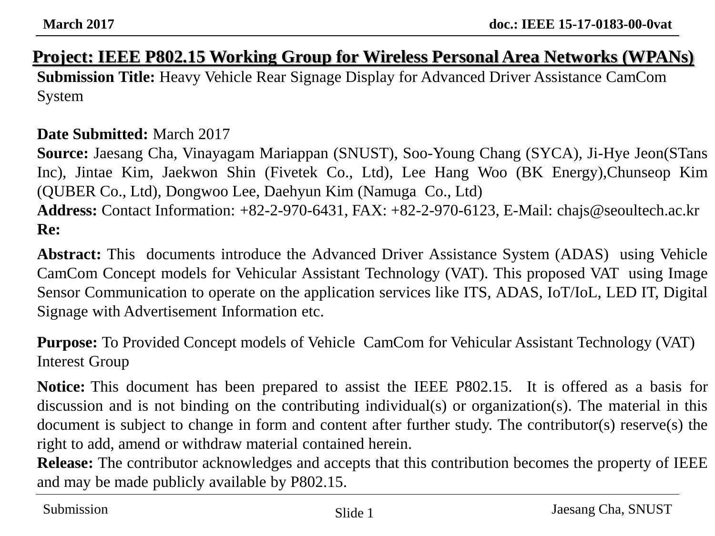#### **Project: IEEE P802.15 Working Group for Wireless Personal Area Networks (WPANs)**

**Submission Title:** Heavy Vehicle Rear Signage Display for Advanced Driver Assistance CamCom System

#### **Date Submitted:** March 2017

**Source:** Jaesang Cha, Vinayagam Mariappan (SNUST), Soo-Young Chang (SYCA), Ji-Hye Jeon(STans Inc), Jintae Kim, Jaekwon Shin (Fivetek Co., Ltd), Lee Hang Woo (BK Energy),Chunseop Kim (QUBER Co., Ltd), Dongwoo Lee, Daehyun Kim (Namuga Co., Ltd) **Address:** Contact Information: +82-2-970-6431, FAX: +82-2-970-6123, E-Mail: chajs@seoultech.ac.kr **Re:**

**Abstract:** This documents introduce the Advanced Driver Assistance System (ADAS) using Vehicle CamCom Concept models for Vehicular Assistant Technology (VAT). This proposed VAT using Image Sensor Communication to operate on the application services like ITS, ADAS, IoT/IoL, LED IT, Digital Signage with Advertisement Information etc.

**Purpose:** To Provided Concept models of Vehicle CamCom for Vehicular Assistant Technology (VAT) Interest Group

**Notice:** This document has been prepared to assist the IEEE P802.15. It is offered as a basis for discussion and is not binding on the contributing individual(s) or organization(s). The material in this document is subject to change in form and content after further study. The contributor(s) reserve(s) the right to add, amend or withdraw material contained herein.

**Release:** The contributor acknowledges and accepts that this contribution becomes the property of IEEE and may be made publicly available by P802.15.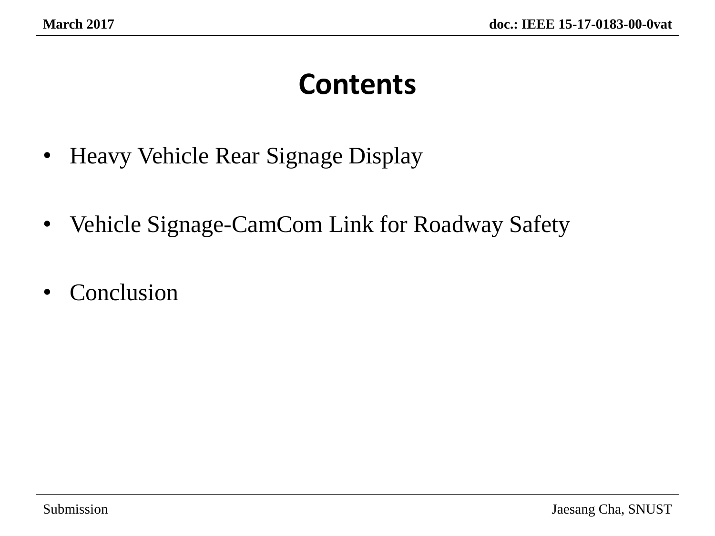### **Contents**

- Heavy Vehicle Rear Signage Display
- Vehicle Signage-CamCom Link for Roadway Safety
- Conclusion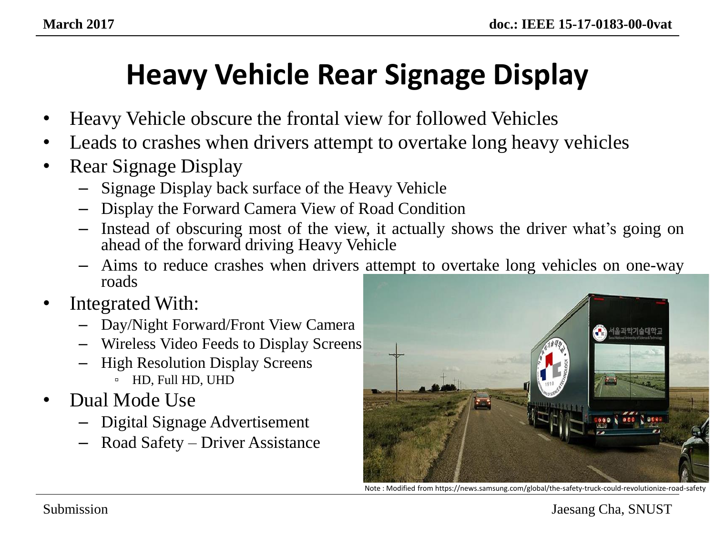# **Heavy Vehicle Rear Signage Display**

- Heavy Vehicle obscure the frontal view for followed Vehicles
- Leads to crashes when drivers attempt to overtake long heavy vehicles
- Rear Signage Display
	- Signage Display back surface of the Heavy Vehicle
	- Display the Forward Camera View of Road Condition
	- Instead of obscuring most of the view, it actually shows the driver what's going on ahead of the forward driving Heavy Vehicle
	- Aims to reduce crashes when drivers attempt to overtake long vehicles on one-way roads
- Integrated With:
	- Day/Night Forward/Front View Camera
	- Wireless Video Feeds to Display Screens
	- High Resolution Display Screens ▫ HD, Full HD, UHD
- Dual Mode Use
	- Digital Signage Advertisement
	- Road Safety Driver Assistance



Note : Modified from https://news.samsung.com/global/the-safety-truck-could-revolutionize-road-safety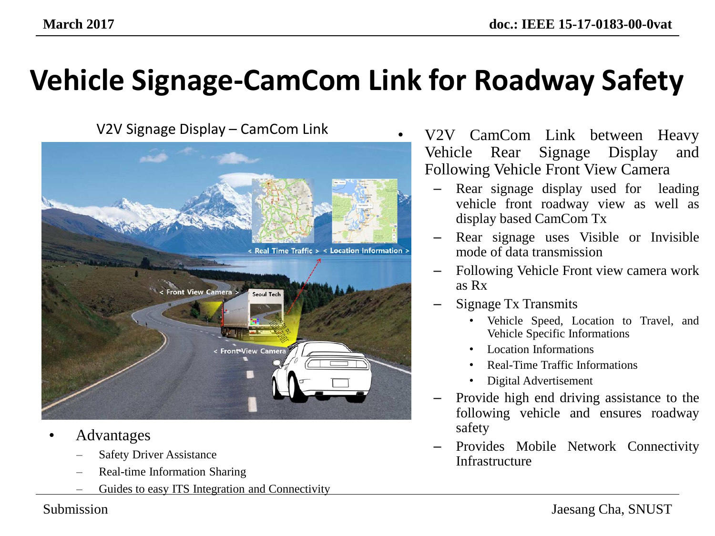# **Vehicle Signage-CamCom Link for Roadway Safety**



- Advantages
	- **Safety Driver Assistance**
	- Real-time Information Sharing
	- Guides to easy ITS Integration and Connectivity

V2V Signage Display – CamCom Link • V2V CamCom Link between Heavy Vehicle Rear Signage Display and Following Vehicle Front View Camera

- Rear signage display used for leading vehicle front roadway view as well as display based CamCom Tx
- Rear signage uses Visible or Invisible mode of data transmission
- Following Vehicle Front view camera work as Rx
- Signage Tx Transmits
	- Vehicle Speed, Location to Travel, and Vehicle Specific Informations
	- Location Informations
	- Real-Time Traffic Informations
	- Digital Advertisement
- Provide high end driving assistance to the following vehicle and ensures roadway safety
- Provides Mobile Network Connectivity Infrastructure